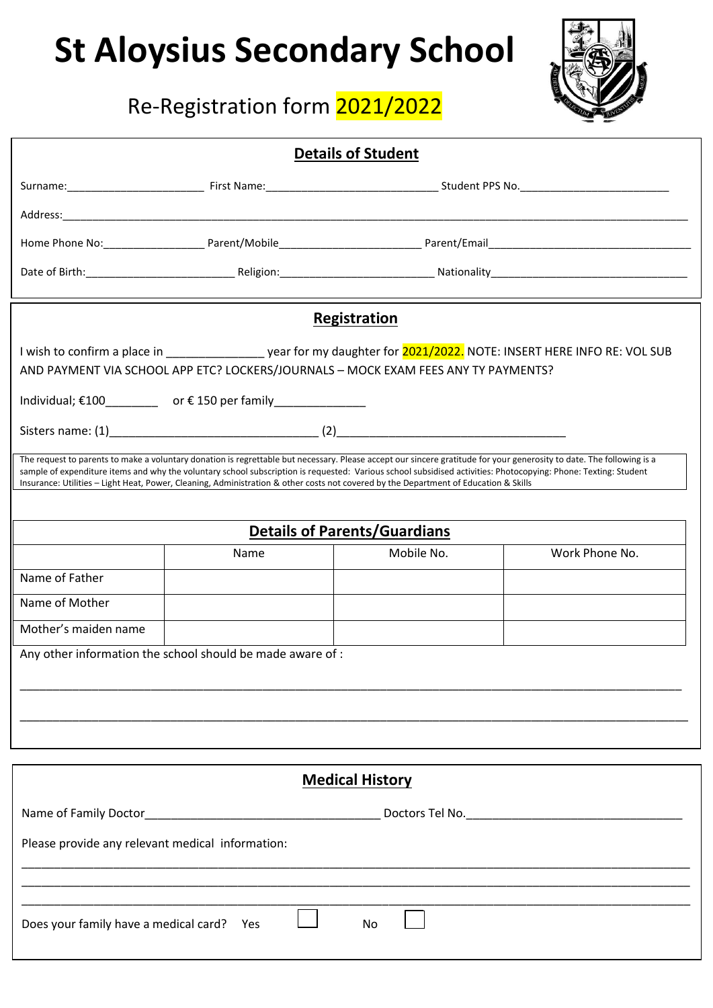## **St Aloysius Secondary School**

## Re-Registration form 2021/2022



| <b>Details of Student</b>                                                                                                                                                                                                                                                                                                                                                                                                                                                        |                                                                 |                                                                                                                            |                |  |  |  |  |  |  |
|----------------------------------------------------------------------------------------------------------------------------------------------------------------------------------------------------------------------------------------------------------------------------------------------------------------------------------------------------------------------------------------------------------------------------------------------------------------------------------|-----------------------------------------------------------------|----------------------------------------------------------------------------------------------------------------------------|----------------|--|--|--|--|--|--|
|                                                                                                                                                                                                                                                                                                                                                                                                                                                                                  |                                                                 |                                                                                                                            |                |  |  |  |  |  |  |
|                                                                                                                                                                                                                                                                                                                                                                                                                                                                                  |                                                                 |                                                                                                                            |                |  |  |  |  |  |  |
|                                                                                                                                                                                                                                                                                                                                                                                                                                                                                  |                                                                 |                                                                                                                            |                |  |  |  |  |  |  |
|                                                                                                                                                                                                                                                                                                                                                                                                                                                                                  |                                                                 |                                                                                                                            |                |  |  |  |  |  |  |
|                                                                                                                                                                                                                                                                                                                                                                                                                                                                                  |                                                                 |                                                                                                                            |                |  |  |  |  |  |  |
|                                                                                                                                                                                                                                                                                                                                                                                                                                                                                  |                                                                 | <b>Registration</b>                                                                                                        |                |  |  |  |  |  |  |
|                                                                                                                                                                                                                                                                                                                                                                                                                                                                                  |                                                                 | I wish to confirm a place in ______________________ year for my daughter for 2021/2022. NOTE: INSERT HERE INFO RE: VOL SUB |                |  |  |  |  |  |  |
|                                                                                                                                                                                                                                                                                                                                                                                                                                                                                  |                                                                 | AND PAYMENT VIA SCHOOL APP ETC? LOCKERS/JOURNALS - MOCK EXAM FEES ANY TY PAYMENTS?                                         |                |  |  |  |  |  |  |
|                                                                                                                                                                                                                                                                                                                                                                                                                                                                                  | Individual; €100 ____________ or €150 per family ______________ |                                                                                                                            |                |  |  |  |  |  |  |
|                                                                                                                                                                                                                                                                                                                                                                                                                                                                                  |                                                                 |                                                                                                                            |                |  |  |  |  |  |  |
| The request to parents to make a voluntary donation is regrettable but necessary. Please accept our sincere gratitude for your generosity to date. The following is a<br>sample of expenditure items and why the voluntary school subscription is requested: Various school subsidised activities: Photocopying: Phone: Texting: Student<br>Insurance: Utilities - Light Heat, Power, Cleaning, Administration & other costs not covered by the Department of Education & Skills |                                                                 |                                                                                                                            |                |  |  |  |  |  |  |
|                                                                                                                                                                                                                                                                                                                                                                                                                                                                                  |                                                                 |                                                                                                                            |                |  |  |  |  |  |  |
|                                                                                                                                                                                                                                                                                                                                                                                                                                                                                  |                                                                 | <b>Details of Parents/Guardians</b>                                                                                        |                |  |  |  |  |  |  |
|                                                                                                                                                                                                                                                                                                                                                                                                                                                                                  | Name                                                            | Mobile No.                                                                                                                 | Work Phone No. |  |  |  |  |  |  |
| Name of Father                                                                                                                                                                                                                                                                                                                                                                                                                                                                   |                                                                 |                                                                                                                            |                |  |  |  |  |  |  |
| Name of Mother                                                                                                                                                                                                                                                                                                                                                                                                                                                                   |                                                                 |                                                                                                                            |                |  |  |  |  |  |  |
| Mother's maiden name                                                                                                                                                                                                                                                                                                                                                                                                                                                             |                                                                 |                                                                                                                            |                |  |  |  |  |  |  |
|                                                                                                                                                                                                                                                                                                                                                                                                                                                                                  | Any other information the school should be made aware of :      |                                                                                                                            |                |  |  |  |  |  |  |
|                                                                                                                                                                                                                                                                                                                                                                                                                                                                                  |                                                                 |                                                                                                                            |                |  |  |  |  |  |  |
|                                                                                                                                                                                                                                                                                                                                                                                                                                                                                  |                                                                 |                                                                                                                            |                |  |  |  |  |  |  |
|                                                                                                                                                                                                                                                                                                                                                                                                                                                                                  |                                                                 |                                                                                                                            |                |  |  |  |  |  |  |
|                                                                                                                                                                                                                                                                                                                                                                                                                                                                                  |                                                                 |                                                                                                                            |                |  |  |  |  |  |  |
| <b>Medical History</b>                                                                                                                                                                                                                                                                                                                                                                                                                                                           |                                                                 |                                                                                                                            |                |  |  |  |  |  |  |
|                                                                                                                                                                                                                                                                                                                                                                                                                                                                                  |                                                                 |                                                                                                                            |                |  |  |  |  |  |  |
| Please provide any relevant medical information:                                                                                                                                                                                                                                                                                                                                                                                                                                 |                                                                 |                                                                                                                            |                |  |  |  |  |  |  |
|                                                                                                                                                                                                                                                                                                                                                                                                                                                                                  |                                                                 |                                                                                                                            |                |  |  |  |  |  |  |
|                                                                                                                                                                                                                                                                                                                                                                                                                                                                                  |                                                                 |                                                                                                                            |                |  |  |  |  |  |  |
| Does your family have a medical card?<br>No<br>Yes                                                                                                                                                                                                                                                                                                                                                                                                                               |                                                                 |                                                                                                                            |                |  |  |  |  |  |  |
|                                                                                                                                                                                                                                                                                                                                                                                                                                                                                  |                                                                 |                                                                                                                            |                |  |  |  |  |  |  |